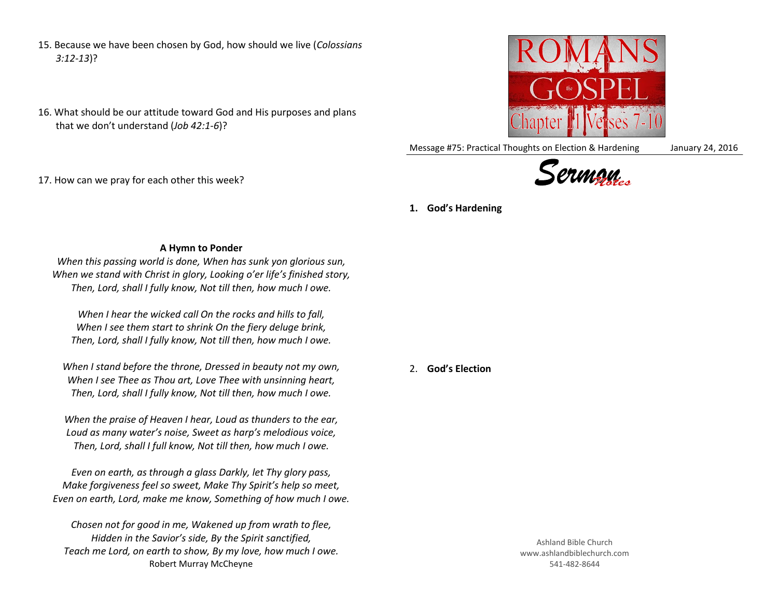- 15. Because we have been chosen by God, how should we live (*Colossians 3:12-13*)?
- 16. What should be our attitude toward God and His purposes and plans that we don't understand (*Job 42:1-6*)?



Message #75: Practical Thoughts on Election & Hardening January 24, 2016





## 17. How can we pray for each other this week?

**1. God's Hardening**

## **A Hymn to Ponder**

*When this passing world is done, When has sunk yon glorious sun, When we stand with Christ in glory, Looking o'er life's finished story, Then, Lord, shall I fully know, Not till then, how much I owe.*

*When I hear the wicked call On the rocks and hills to fall, When I see them start to shrink On the fiery deluge brink, Then, Lord, shall I fully know, Not till then, how much I owe.*

*When I stand before the throne, Dressed in beauty not my own, When I see Thee as Thou art, Love Thee with unsinning heart, Then, Lord, shall I fully know, Not till then, how much I owe.*

*When the praise of Heaven I hear, Loud as thunders to the ear, Loud as many water's noise, Sweet as harp's melodious voice, Then, Lord, shall I full know, Not till then, how much I owe.*

*Even on earth, as through a glass Darkly, let Thy glory pass, Make forgiveness feel so sweet, Make Thy Spirit's help so meet, Even on earth, Lord, make me know, Something of how much I owe.*

*Chosen not for good in me, Wakened up from wrath to flee, Hidden in the Savior's side, By the Spirit sanctified, Teach me Lord, on earth to show, By my love, how much I owe.* Robert Murray McCheyne

2. **God's Election**

Ashland Bible Church www.ashlandbiblechurch.com 541-482-8644